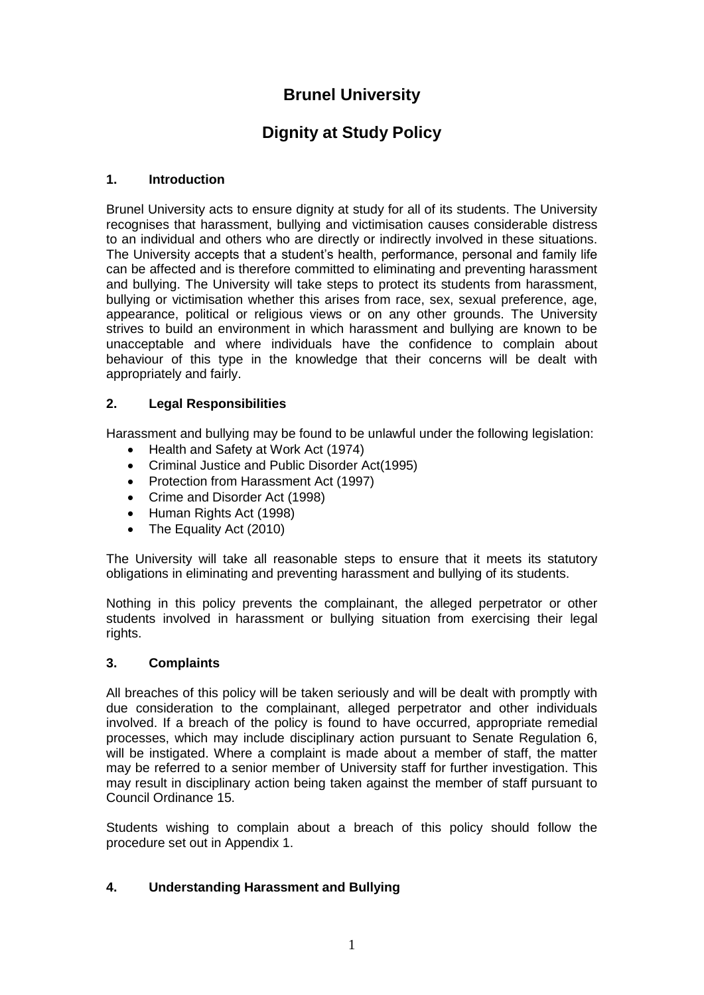## **Brunel University**

# **Dignity at Study Policy**

## **1. Introduction**

Brunel University acts to ensure dignity at study for all of its students. The University recognises that harassment, bullying and victimisation causes considerable distress to an individual and others who are directly or indirectly involved in these situations. The University accepts that a student's health, performance, personal and family life can be affected and is therefore committed to eliminating and preventing harassment and bullying. The University will take steps to protect its students from harassment, bullying or victimisation whether this arises from race, sex, sexual preference, age, appearance, political or religious views or on any other grounds. The University strives to build an environment in which harassment and bullying are known to be unacceptable and where individuals have the confidence to complain about behaviour of this type in the knowledge that their concerns will be dealt with appropriately and fairly.

## **2. Legal Responsibilities**

Harassment and bullying may be found to be unlawful under the following legislation:

- Health and Safety at Work Act (1974)
- Criminal Justice and Public Disorder Act(1995)
- Protection from Harassment Act (1997)
- Crime and Disorder Act (1998)
- Human Rights Act (1998)
- The Equality Act (2010)

The University will take all reasonable steps to ensure that it meets its statutory obligations in eliminating and preventing harassment and bullying of its students.

Nothing in this policy prevents the complainant, the alleged perpetrator or other students involved in harassment or bullying situation from exercising their legal rights.

#### **3. Complaints**

All breaches of this policy will be taken seriously and will be dealt with promptly with due consideration to the complainant, alleged perpetrator and other individuals involved. If a breach of the policy is found to have occurred, appropriate remedial processes, which may include disciplinary action pursuant to Senate Regulation 6, will be instigated. Where a complaint is made about a member of staff, the matter may be referred to a senior member of University staff for further investigation. This may result in disciplinary action being taken against the member of staff pursuant to Council Ordinance 15.

Students wishing to complain about a breach of this policy should follow the procedure set out in Appendix 1.

## **4. Understanding Harassment and Bullying**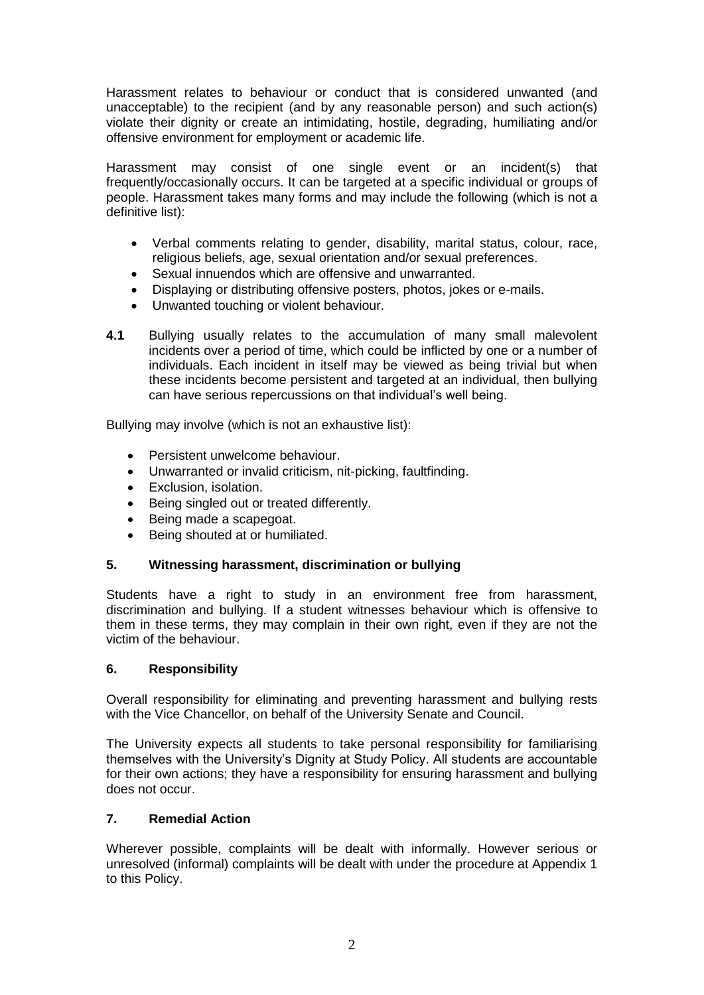Harassment relates to behaviour or conduct that is considered unwanted (and unacceptable) to the recipient (and by any reasonable person) and such action(s) violate their dignity or create an intimidating, hostile, degrading, humiliating and/or offensive environment for employment or academic life.

Harassment may consist of one single event or an incident(s) that frequently/occasionally occurs. It can be targeted at a specific individual or groups of people. Harassment takes many forms and may include the following (which is not a definitive list):

- Verbal comments relating to gender, disability, marital status, colour, race, religious beliefs, age, sexual orientation and/or sexual preferences.
- Sexual innuendos which are offensive and unwarranted.
- Displaying or distributing offensive posters, photos, jokes or e-mails.
- Unwanted touching or violent behaviour.
- **4.1** Bullying usually relates to the accumulation of many small malevolent incidents over a period of time, which could be inflicted by one or a number of individuals. Each incident in itself may be viewed as being trivial but when these incidents become persistent and targeted at an individual, then bullying can have serious repercussions on that individual's well being.

Bullying may involve (which is not an exhaustive list):

- Persistent unwelcome behaviour.
- Unwarranted or invalid criticism, nit-picking, faultfinding.
- Exclusion, isolation.
- Being singled out or treated differently.
- Being made a scapegoat.
- Being shouted at or humiliated.

#### **5. Witnessing harassment, discrimination or bullying**

Students have a right to study in an environment free from harassment, discrimination and bullying. If a student witnesses behaviour which is offensive to them in these terms, they may complain in their own right, even if they are not the victim of the behaviour.

## **6. Responsibility**

Overall responsibility for eliminating and preventing harassment and bullying rests with the Vice Chancellor, on behalf of the University Senate and Council.

The University expects all students to take personal responsibility for familiarising themselves with the University's Dignity at Study Policy. All students are accountable for their own actions; they have a responsibility for ensuring harassment and bullying does not occur.

#### **7. Remedial Action**

Wherever possible, complaints will be dealt with informally. However serious or unresolved (informal) complaints will be dealt with under the procedure at Appendix 1 to this Policy.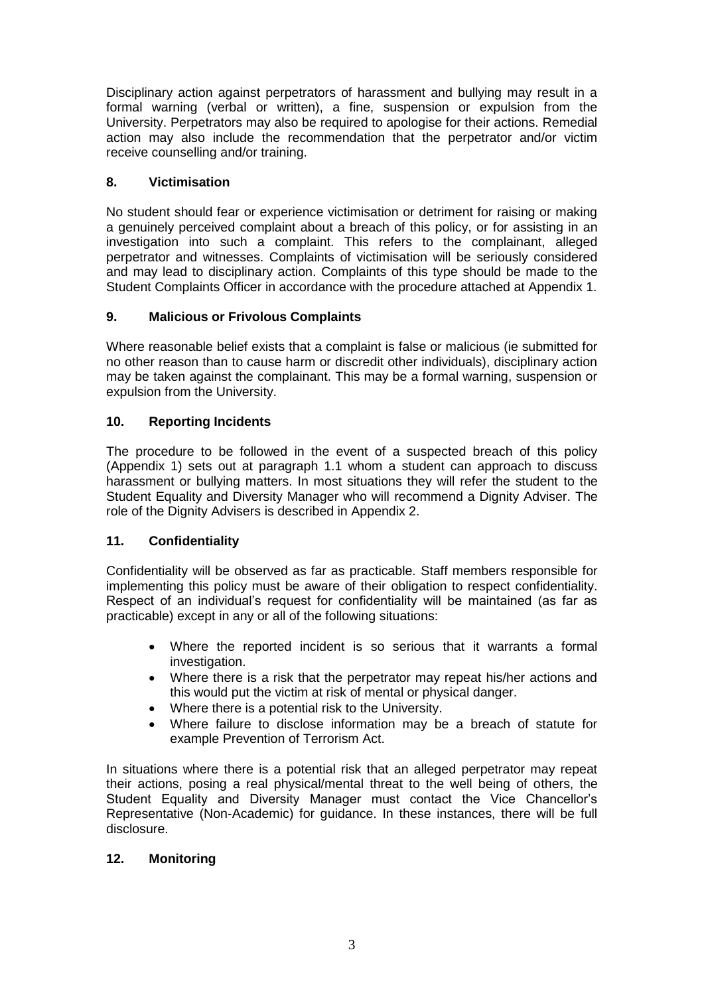Disciplinary action against perpetrators of harassment and bullying may result in a formal warning (verbal or written), a fine, suspension or expulsion from the University. Perpetrators may also be required to apologise for their actions. Remedial action may also include the recommendation that the perpetrator and/or victim receive counselling and/or training.

## **8. Victimisation**

No student should fear or experience victimisation or detriment for raising or making a genuinely perceived complaint about a breach of this policy, or for assisting in an investigation into such a complaint. This refers to the complainant, alleged perpetrator and witnesses. Complaints of victimisation will be seriously considered and may lead to disciplinary action. Complaints of this type should be made to the Student Complaints Officer in accordance with the procedure attached at Appendix 1.

## **9. Malicious or Frivolous Complaints**

Where reasonable belief exists that a complaint is false or malicious (ie submitted for no other reason than to cause harm or discredit other individuals), disciplinary action may be taken against the complainant. This may be a formal warning, suspension or expulsion from the University.

## **10. Reporting Incidents**

The procedure to be followed in the event of a suspected breach of this policy (Appendix 1) sets out at paragraph 1.1 whom a student can approach to discuss harassment or bullying matters. In most situations they will refer the student to the Student Equality and Diversity Manager who will recommend a Dignity Adviser. The role of the Dignity Advisers is described in Appendix 2.

## **11. Confidentiality**

Confidentiality will be observed as far as practicable. Staff members responsible for implementing this policy must be aware of their obligation to respect confidentiality. Respect of an individual's request for confidentiality will be maintained (as far as practicable) except in any or all of the following situations:

- Where the reported incident is so serious that it warrants a formal investigation.
- Where there is a risk that the perpetrator may repeat his/her actions and this would put the victim at risk of mental or physical danger.
- Where there is a potential risk to the University.
- Where failure to disclose information may be a breach of statute for example Prevention of Terrorism Act.

In situations where there is a potential risk that an alleged perpetrator may repeat their actions, posing a real physical/mental threat to the well being of others, the Student Equality and Diversity Manager must contact the Vice Chancellor's Representative (Non-Academic) for guidance. In these instances, there will be full disclosure.

## **12. Monitoring**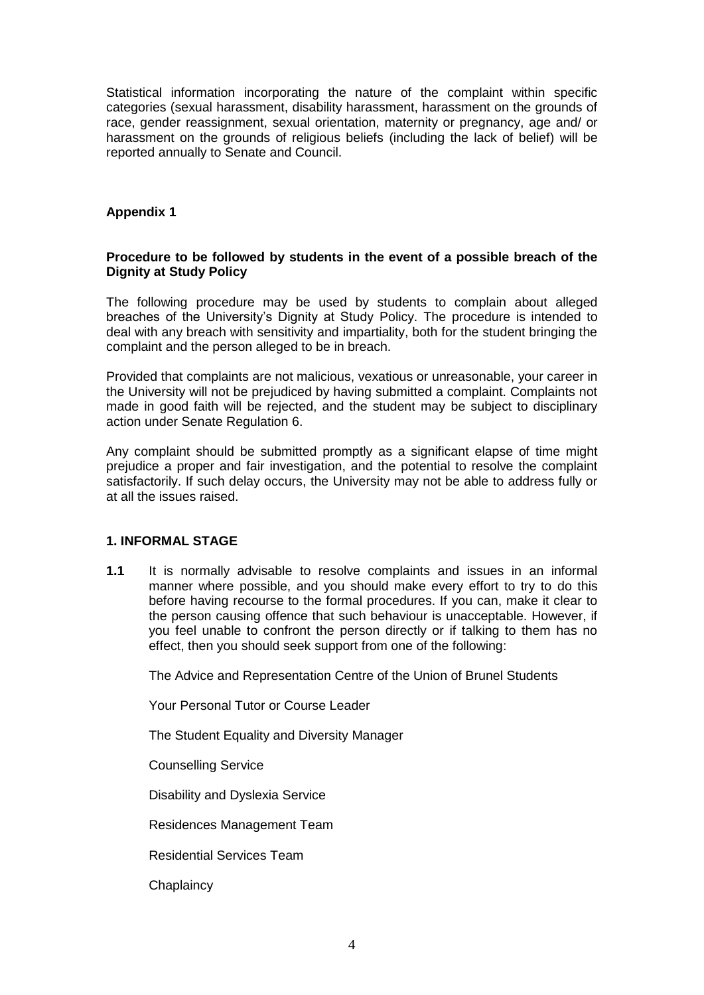Statistical information incorporating the nature of the complaint within specific categories (sexual harassment, disability harassment, harassment on the grounds of race, gender reassignment, sexual orientation, maternity or pregnancy, age and/ or harassment on the grounds of religious beliefs (including the lack of belief) will be reported annually to Senate and Council.

### **Appendix 1**

#### **Procedure to be followed by students in the event of a possible breach of the Dignity at Study Policy**

The following procedure may be used by students to complain about alleged breaches of the University's Dignity at Study Policy. The procedure is intended to deal with any breach with sensitivity and impartiality, both for the student bringing the complaint and the person alleged to be in breach.

Provided that complaints are not malicious, vexatious or unreasonable, your career in the University will not be prejudiced by having submitted a complaint. Complaints not made in good faith will be rejected, and the student may be subject to disciplinary action under Senate Regulation 6.

Any complaint should be submitted promptly as a significant elapse of time might prejudice a proper and fair investigation, and the potential to resolve the complaint satisfactorily. If such delay occurs, the University may not be able to address fully or at all the issues raised.

#### **1. INFORMAL STAGE**

**1.1** It is normally advisable to resolve complaints and issues in an informal manner where possible, and you should make every effort to try to do this before having recourse to the formal procedures. If you can, make it clear to the person causing offence that such behaviour is unacceptable. However, if you feel unable to confront the person directly or if talking to them has no effect, then you should seek support from one of the following:

The Advice and Representation Centre of the Union of Brunel Students

Your Personal Tutor or Course Leader

The Student Equality and Diversity Manager

Counselling Service

Disability and Dyslexia Service

Residences Management Team

Residential Services Team

**Chaplaincy**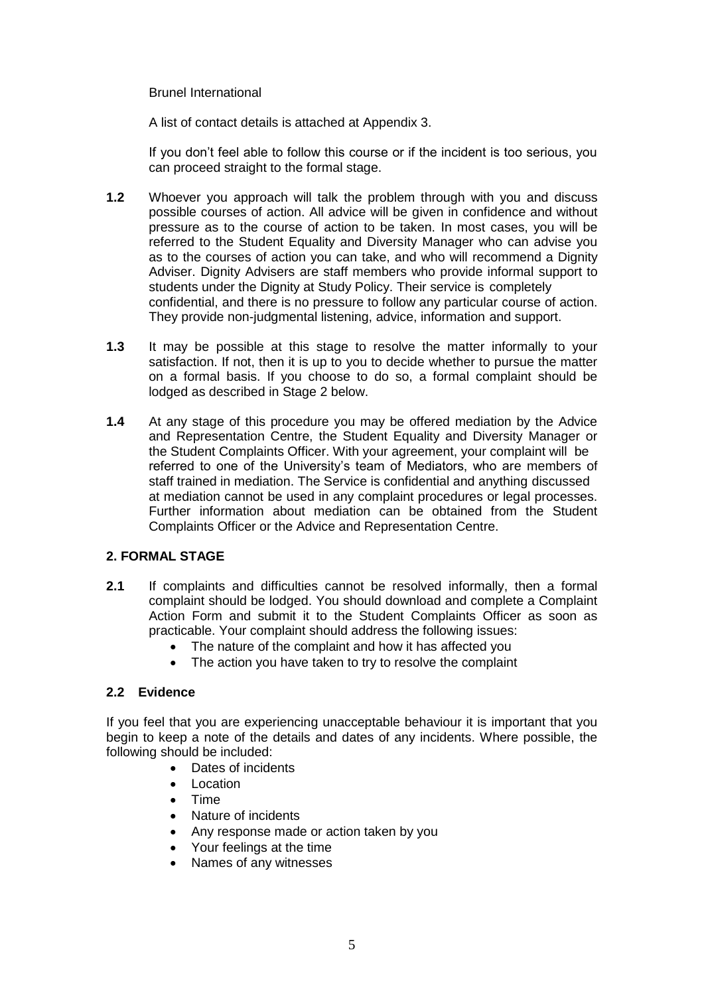Brunel International

A list of contact details is attached at Appendix 3.

If you don't feel able to follow this course or if the incident is too serious, you can proceed straight to the formal stage.

- **1.2** Whoever you approach will talk the problem through with you and discuss possible courses of action. All advice will be given in confidence and without pressure as to the course of action to be taken. In most cases, you will be referred to the Student Equality and Diversity Manager who can advise you as to the courses of action you can take, and who will recommend a Dignity Adviser. Dignity Advisers are staff members who provide informal support to students under the Dignity at Study Policy. Their service is completely confidential, and there is no pressure to follow any particular course of action. They provide non-judgmental listening, advice, information and support.
- **1.3** It may be possible at this stage to resolve the matter informally to your satisfaction. If not, then it is up to you to decide whether to pursue the matter on a formal basis. If you choose to do so, a formal complaint should be lodged as described in Stage 2 below.
- **1.4** At any stage of this procedure you may be offered mediation by the Advice and Representation Centre, the Student Equality and Diversity Manager or the Student Complaints Officer. With your agreement, your complaint will be referred to one of the University's team of Mediators, who are members of staff trained in mediation. The Service is confidential and anything discussed at mediation cannot be used in any complaint procedures or legal processes. Further information about mediation can be obtained from the Student Complaints Officer or the Advice and Representation Centre.

#### **2. FORMAL STAGE**

- **2.1** If complaints and difficulties cannot be resolved informally, then a formal complaint should be lodged. You should download and complete a Complaint Action Form and submit it to the Student Complaints Officer as soon as practicable. Your complaint should address the following issues:
	- The nature of the complaint and how it has affected you
	- The action you have taken to try to resolve the complaint

### **2.2 Evidence**

If you feel that you are experiencing unacceptable behaviour it is important that you begin to keep a note of the details and dates of any incidents. Where possible, the following should be included:

- Dates of incidents
- Location
- Time
- Nature of incidents
- Any response made or action taken by you
- Your feelings at the time
- Names of any witnesses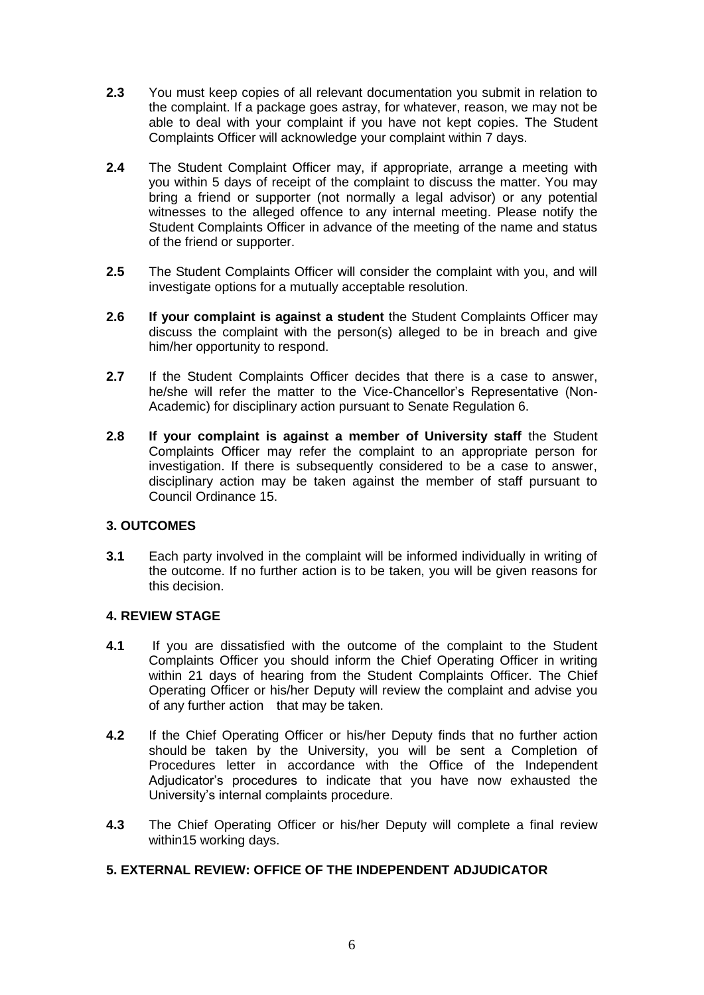- **2.3** You must keep copies of all relevant documentation you submit in relation to the complaint. If a package goes astray, for whatever, reason, we may not be able to deal with your complaint if you have not kept copies. The Student Complaints Officer will acknowledge your complaint within 7 days.
- **2.4** The Student Complaint Officer may, if appropriate, arrange a meeting with you within 5 days of receipt of the complaint to discuss the matter. You may bring a friend or supporter (not normally a legal advisor) or any potential witnesses to the alleged offence to any internal meeting. Please notify the Student Complaints Officer in advance of the meeting of the name and status of the friend or supporter.
- **2.5** The Student Complaints Officer will consider the complaint with you, and will investigate options for a mutually acceptable resolution.
- **2.6 If your complaint is against a student** the Student Complaints Officer may discuss the complaint with the person(s) alleged to be in breach and give him/her opportunity to respond.
- **2.7** If the Student Complaints Officer decides that there is a case to answer, he/she will refer the matter to the Vice-Chancellor's Representative (Non-Academic) for disciplinary action pursuant to Senate Regulation 6.
- **2.8 If your complaint is against a member of University staff** the Student Complaints Officer may refer the complaint to an appropriate person for investigation. If there is subsequently considered to be a case to answer, disciplinary action may be taken against the member of staff pursuant to Council Ordinance 15.

## **3. OUTCOMES**

**3.1** Each party involved in the complaint will be informed individually in writing of the outcome. If no further action is to be taken, you will be given reasons for this decision.

#### **4. REVIEW STAGE**

- **4.1** If you are dissatisfied with the outcome of the complaint to the Student Complaints Officer you should inform the Chief Operating Officer in writing within 21 days of hearing from the Student Complaints Officer. The Chief Operating Officer or his/her Deputy will review the complaint and advise you of any further action that may be taken.
- **4.2** If the Chief Operating Officer or his/her Deputy finds that no further action should be taken by the University, you will be sent a Completion of Procedures letter in accordance with the Office of the Independent Adjudicator's procedures to indicate that you have now exhausted the University's internal complaints procedure.
- **4.3** The Chief Operating Officer or his/her Deputy will complete a final review within15 working days.

#### **5. EXTERNAL REVIEW: OFFICE OF THE INDEPENDENT ADJUDICATOR**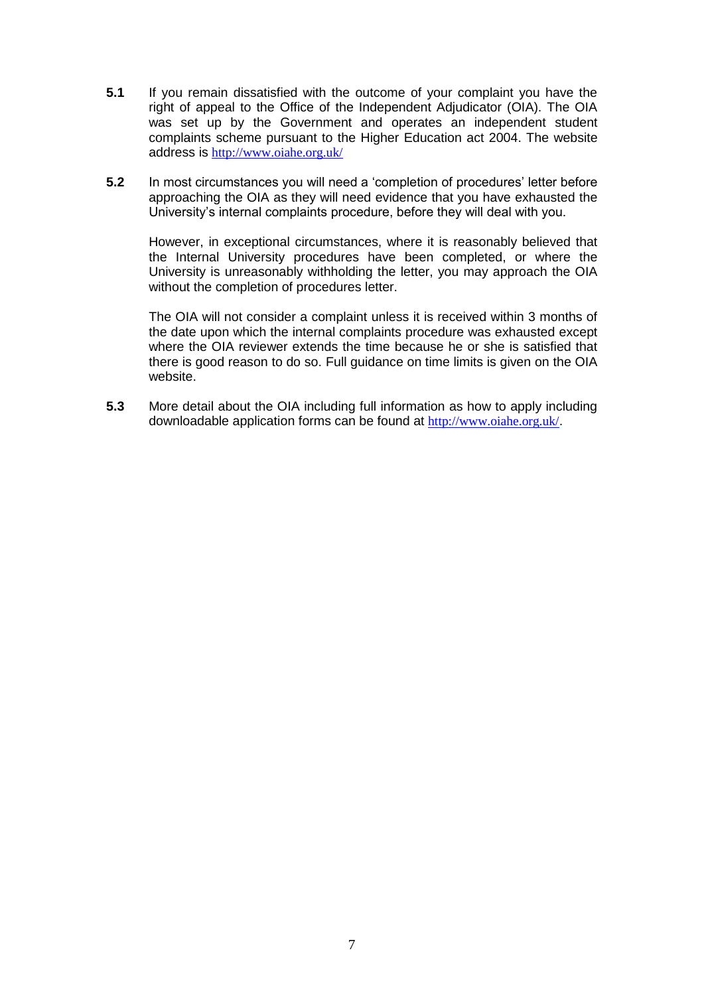- **5.1** If you remain dissatisfied with the outcome of your complaint you have the right of appeal to the Office of the Independent Adjudicator (OIA). The OIA was set up by the Government and operates an independent student complaints scheme pursuant to the Higher Education act 2004. The website address is <http://www.oiahe.org.uk/>
- **5.2** In most circumstances you will need a 'completion of procedures' letter before approaching the OIA as they will need evidence that you have exhausted the University's internal complaints procedure, before they will deal with you.

However, in exceptional circumstances, where it is reasonably believed that the Internal University procedures have been completed, or where the University is unreasonably withholding the letter, you may approach the OIA without the completion of procedures letter.

The OIA will not consider a complaint unless it is received within 3 months of the date upon which the internal complaints procedure was exhausted except where the OIA reviewer extends the time because he or she is satisfied that there is good reason to do so. Full guidance on time limits is given on the OIA website.

**5.3** More detail about the OIA including full information as how to apply including downloadable application forms can be found at <http://www.oiahe.org.uk/>.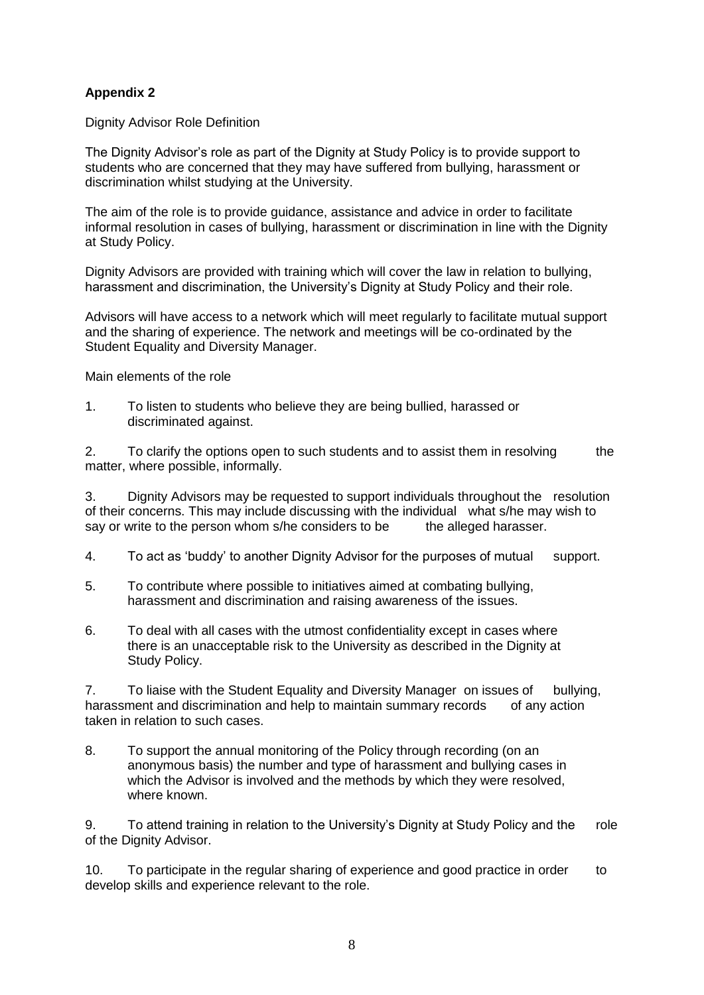## **Appendix 2**

Dignity Advisor Role Definition

The Dignity Advisor's role as part of the Dignity at Study Policy is to provide support to students who are concerned that they may have suffered from bullying, harassment or discrimination whilst studying at the University.

The aim of the role is to provide guidance, assistance and advice in order to facilitate informal resolution in cases of bullying, harassment or discrimination in line with the Dignity at Study Policy.

Dignity Advisors are provided with training which will cover the law in relation to bullying, harassment and discrimination, the University's Dignity at Study Policy and their role.

Advisors will have access to a network which will meet regularly to facilitate mutual support and the sharing of experience. The network and meetings will be co-ordinated by the Student Equality and Diversity Manager.

Main elements of the role

1. To listen to students who believe they are being bullied, harassed or discriminated against.

2. To clarify the options open to such students and to assist them in resolving the matter, where possible, informally.

3. Dignity Advisors may be requested to support individuals throughout the resolution of their concerns. This may include discussing with the individual what s/he may wish to say or write to the person whom s/he considers to be the alleged harasser.

- 4. To act as 'buddy' to another Dignity Advisor for the purposes of mutual support.
- 5. To contribute where possible to initiatives aimed at combating bullying, harassment and discrimination and raising awareness of the issues.
- 6. To deal with all cases with the utmost confidentiality except in cases where there is an unacceptable risk to the University as described in the Dignity at Study Policy.

7. To liaise with the Student Equality and Diversity Manager on issues of bullying, harassment and discrimination and help to maintain summary records of any action taken in relation to such cases.

8. To support the annual monitoring of the Policy through recording (on an anonymous basis) the number and type of harassment and bullying cases in which the Advisor is involved and the methods by which they were resolved, where known.

9. To attend training in relation to the University's Dignity at Study Policy and the role of the Dignity Advisor.

10. To participate in the regular sharing of experience and good practice in order to develop skills and experience relevant to the role.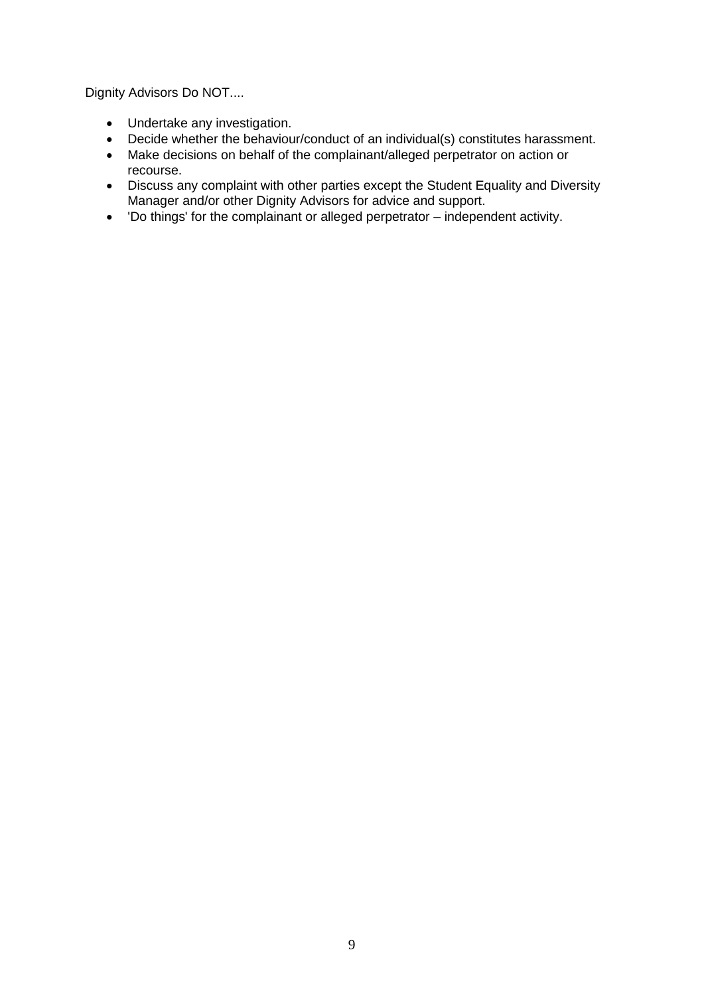Dignity Advisors Do NOT....

- Undertake any investigation.
- Decide whether the behaviour/conduct of an individual(s) constitutes harassment.
- Make decisions on behalf of the complainant/alleged perpetrator on action or recourse.
- Discuss any complaint with other parties except the Student Equality and Diversity Manager and/or other Dignity Advisors for advice and support.
- 'Do things' for the complainant or alleged perpetrator independent activity.